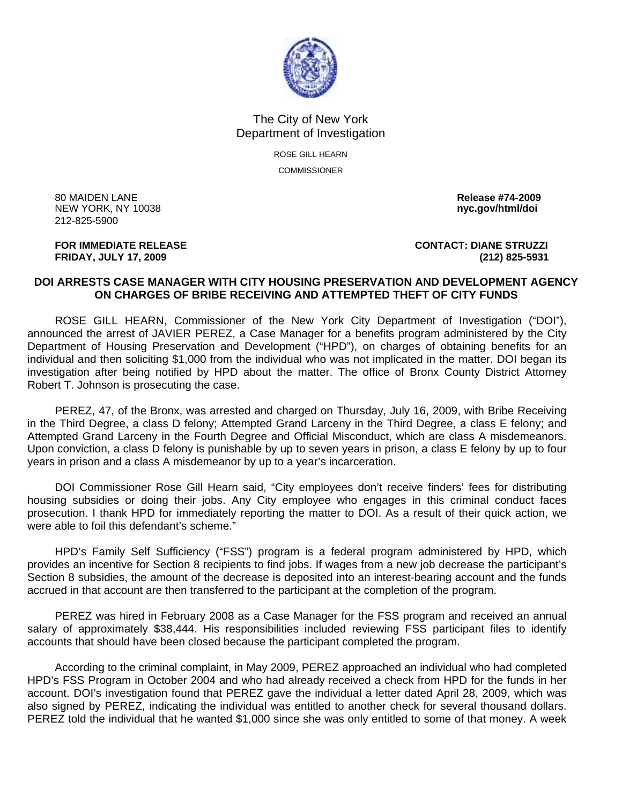

## The City of New York Department of Investigation

ROSE GILL HEARN **COMMISSIONER** 

80 MAIDEN LANE **Release #74-2009 NEW YORK, NY 10038** 212-825-5900

**FOR IMMEDIATE RELEASE CONTACT: DIANE STRUZZI FRIDAY, JULY 17, 2009 (212) 825-5931**

## **DOI ARRESTS CASE MANAGER WITH CITY HOUSING PRESERVATION AND DEVELOPMENT AGENCY ON CHARGES OF BRIBE RECEIVING AND ATTEMPTED THEFT OF CITY FUNDS**

 ROSE GILL HEARN, Commissioner of the New York City Department of Investigation ("DOI"), announced the arrest of JAVIER PEREZ, a Case Manager for a benefits program administered by the City Department of Housing Preservation and Development ("HPD"), on charges of obtaining benefits for an individual and then soliciting \$1,000 from the individual who was not implicated in the matter. DOI began its investigation after being notified by HPD about the matter. The office of Bronx County District Attorney Robert T. Johnson is prosecuting the case.

 PEREZ, 47, of the Bronx, was arrested and charged on Thursday, July 16, 2009, with Bribe Receiving in the Third Degree, a class D felony; Attempted Grand Larceny in the Third Degree, a class E felony; and Attempted Grand Larceny in the Fourth Degree and Official Misconduct, which are class A misdemeanors. Upon conviction, a class D felony is punishable by up to seven years in prison, a class E felony by up to four years in prison and a class A misdemeanor by up to a year's incarceration.

 DOI Commissioner Rose Gill Hearn said, "City employees don't receive finders' fees for distributing housing subsidies or doing their jobs. Any City employee who engages in this criminal conduct faces prosecution. I thank HPD for immediately reporting the matter to DOI. As a result of their quick action, we were able to foil this defendant's scheme."

 HPD's Family Self Sufficiency ("FSS") program is a federal program administered by HPD, which provides an incentive for Section 8 recipients to find jobs. If wages from a new job decrease the participant's Section 8 subsidies, the amount of the decrease is deposited into an interest-bearing account and the funds accrued in that account are then transferred to the participant at the completion of the program.

 PEREZ was hired in February 2008 as a Case Manager for the FSS program and received an annual salary of approximately \$38,444. His responsibilities included reviewing FSS participant files to identify accounts that should have been closed because the participant completed the program.

 According to the criminal complaint, in May 2009, PEREZ approached an individual who had completed HPD's FSS Program in October 2004 and who had already received a check from HPD for the funds in her account. DOI's investigation found that PEREZ gave the individual a letter dated April 28, 2009, which was also signed by PEREZ, indicating the individual was entitled to another check for several thousand dollars. PEREZ told the individual that he wanted \$1,000 since she was only entitled to some of that money. A week